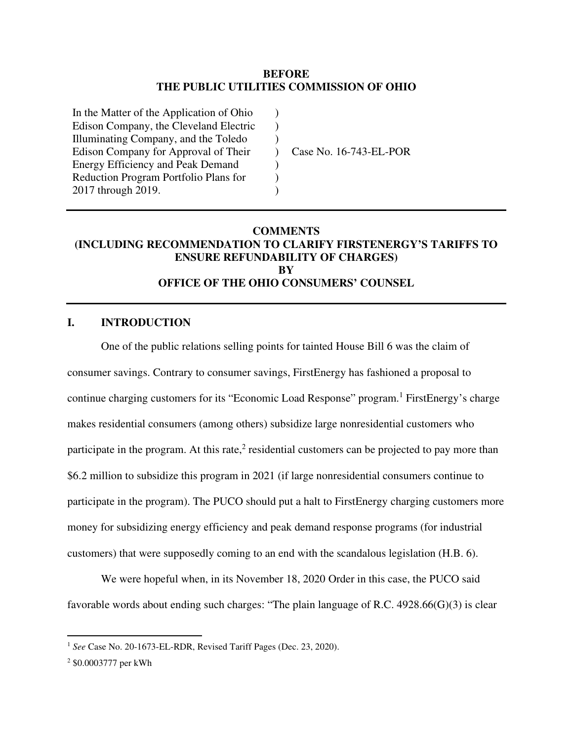#### **BEFORE THE PUBLIC UTILITIES COMMISSION OF OHIO**

) ) )  $\lambda$ ) ) )

In the Matter of the Application of Ohio Edison Company, the Cleveland Electric Illuminating Company, and the Toledo Edison Company for Approval of Their Energy Efficiency and Peak Demand Reduction Program Portfolio Plans for 2017 through 2019.

Case No. 16-743-EL-POR

#### **COMMENTS (INCLUDING RECOMMENDATION TO CLARIFY FIRSTENERGY'S TARIFFS TO ENSURE REFUNDABILITY OF CHARGES) BY OFFICE OF THE OHIO CONSUMERS' COUNSEL**

#### **I. INTRODUCTION**

One of the public relations selling points for tainted House Bill 6 was the claim of consumer savings. Contrary to consumer savings, FirstEnergy has fashioned a proposal to continue charging customers for its "Economic Load Response" program.<sup>1</sup> FirstEnergy's charge makes residential consumers (among others) subsidize large nonresidential customers who participate in the program. At this rate, $2$  residential customers can be projected to pay more than \$6.2 million to subsidize this program in 2021 (if large nonresidential consumers continue to participate in the program). The PUCO should put a halt to FirstEnergy charging customers more money for subsidizing energy efficiency and peak demand response programs (for industrial customers) that were supposedly coming to an end with the scandalous legislation (H.B. 6).

We were hopeful when, in its November 18, 2020 Order in this case, the PUCO said favorable words about ending such charges: "The plain language of R.C. 4928.66(G)(3) is clear

<sup>1</sup> *See* Case No. 20-1673-EL-RDR, Revised Tariff Pages (Dec. 23, 2020).

<sup>2</sup> \$0.0003777 per kWh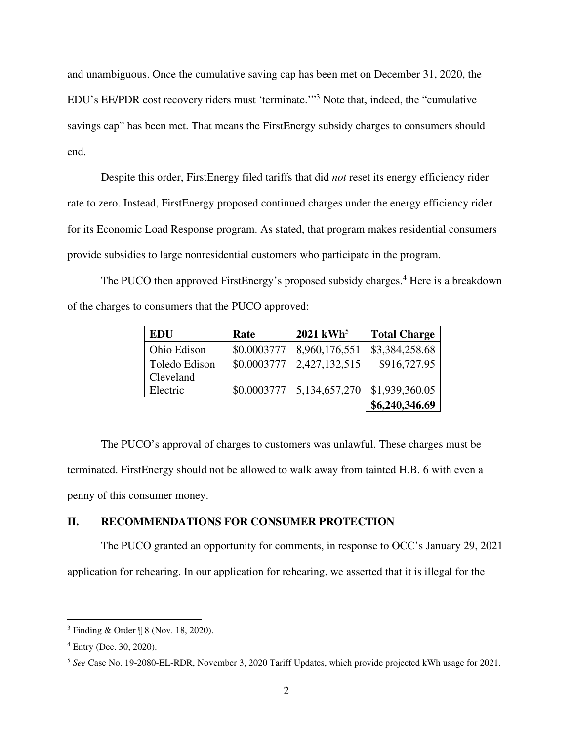and unambiguous. Once the cumulative saving cap has been met on December 31, 2020, the EDU's EE/PDR cost recovery riders must 'terminate.'" 3 Note that, indeed, the "cumulative savings cap" has been met. That means the FirstEnergy subsidy charges to consumers should end.

Despite this order, FirstEnergy filed tariffs that did *not* reset its energy efficiency rider rate to zero. Instead, FirstEnergy proposed continued charges under the energy efficiency rider for its Economic Load Response program. As stated, that program makes residential consumers provide subsidies to large nonresidential customers who participate in the program.

The PUCO then approved FirstEnergy's proposed subsidy charges.<sup>4</sup> Here is a breakdown of the charges to consumers that the PUCO approved:

| <b>EDU</b>    | Rate        | $2021$ kWh <sup>5</sup> | <b>Total Charge</b> |
|---------------|-------------|-------------------------|---------------------|
| Ohio Edison   | \$0.0003777 | 8,960,176,551           | \$3,384,258.68      |
| Toledo Edison | \$0.0003777 | 2,427,132,515           | \$916,727.95        |
| Cleveland     |             |                         |                     |
| Electric      | \$0.0003777 | 5,134,657,270           | \$1,939,360.05      |
|               |             |                         | \$6,240,346.69      |

The PUCO's approval of charges to customers was unlawful. These charges must be terminated. FirstEnergy should not be allowed to walk away from tainted H.B. 6 with even a penny of this consumer money.

## **II. RECOMMENDATIONS FOR CONSUMER PROTECTION**

The PUCO granted an opportunity for comments, in response to OCC's January 29, 2021 application for rehearing. In our application for rehearing, we asserted that it is illegal for the

<sup>3</sup> Finding & Order ¶ 8 (Nov. 18, 2020).

<sup>4</sup> Entry (Dec. 30, 2020).

<sup>5</sup> *See* Case No. 19-2080-EL-RDR, November 3, 2020 Tariff Updates, which provide projected kWh usage for 2021.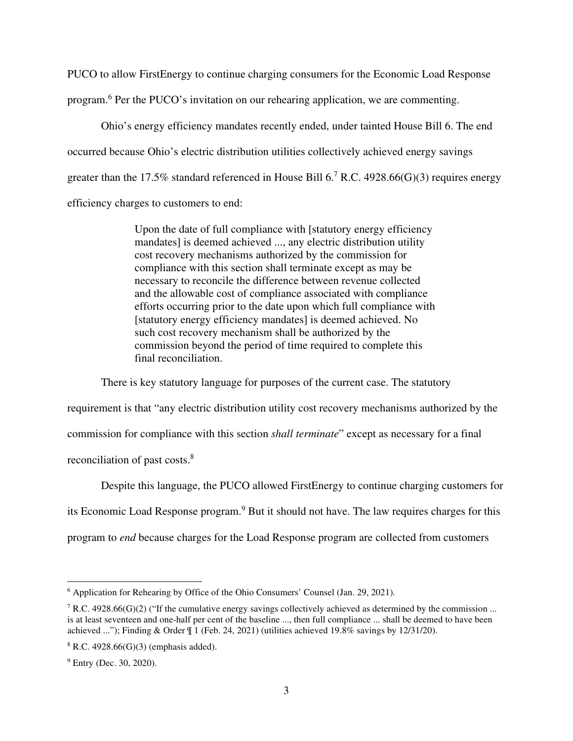PUCO to allow FirstEnergy to continue charging consumers for the Economic Load Response program.<sup>6</sup> Per the PUCO's invitation on our rehearing application, we are commenting.

Ohio's energy efficiency mandates recently ended, under tainted House Bill 6. The end occurred because Ohio's electric distribution utilities collectively achieved energy savings greater than the 17.5% standard referenced in House Bill  $6<sup>7</sup>$  R.C. 4928.66(G)(3) requires energy efficiency charges to customers to end:

> Upon the date of full compliance with [statutory energy efficiency mandates] is deemed achieved ..., any electric distribution utility cost recovery mechanisms authorized by the commission for compliance with this section shall terminate except as may be necessary to reconcile the difference between revenue collected and the allowable cost of compliance associated with compliance efforts occurring prior to the date upon which full compliance with [statutory energy efficiency mandates] is deemed achieved. No such cost recovery mechanism shall be authorized by the commission beyond the period of time required to complete this final reconciliation.

There is key statutory language for purposes of the current case. The statutory requirement is that "any electric distribution utility cost recovery mechanisms authorized by the commission for compliance with this section *shall terminate*" except as necessary for a final reconciliation of past costs.<sup>8</sup>

Despite this language, the PUCO allowed FirstEnergy to continue charging customers for its Economic Load Response program.<sup>9</sup> But it should not have. The law requires charges for this program to *end* because charges for the Load Response program are collected from customers

<sup>&</sup>lt;sup>6</sup> Application for Rehearing by Office of the Ohio Consumers' Counsel (Jan. 29, 2021).

<sup>&</sup>lt;sup>7</sup> R.C. 4928.66(G)(2) ("If the cumulative energy savings collectively achieved as determined by the commission ... is at least seventeen and one-half per cent of the baseline ..., then full compliance ... shall be deemed to have been achieved ..."); Finding & Order ¶ 1 (Feb. 24, 2021) (utilities achieved 19.8% savings by 12/31/20).

<sup>8</sup> R.C. 4928.66(G)(3) (emphasis added).

<sup>&</sup>lt;sup>9</sup> Entry (Dec. 30, 2020).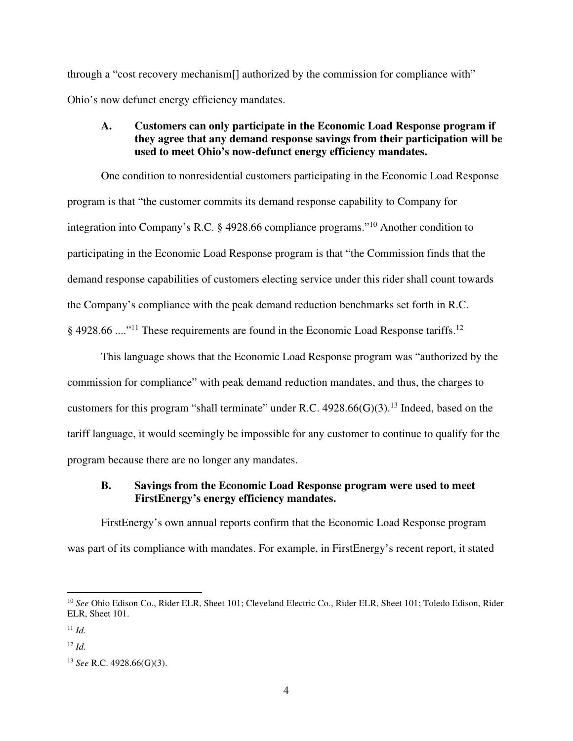through a "cost recovery mechanism[] authorized by the commission for compliance with" Ohio's now defunct energy efficiency mandates.

### **A. Customers can only participate in the Economic Load Response program if they agree that any demand response savings from their participation will be used to meet Ohio's now-defunct energy efficiency mandates.**

One condition to nonresidential customers participating in the Economic Load Response program is that "the customer commits its demand response capability to Company for integration into Company's R.C. § 4928.66 compliance programs."<sup>10</sup> Another condition to participating in the Economic Load Response program is that "the Commission finds that the demand response capabilities of customers electing service under this rider shall count towards the Company's compliance with the peak demand reduction benchmarks set forth in R.C.  $\S$  4928.66 ...."<sup>11</sup> These requirements are found in the Economic Load Response tariffs.<sup>12</sup>

This language shows that the Economic Load Response program was "authorized by the commission for compliance" with peak demand reduction mandates, and thus, the charges to customers for this program "shall terminate" under R.C.  $4928.66(G)(3)$ .<sup>13</sup> Indeed, based on the tariff language, it would seemingly be impossible for any customer to continue to qualify for the program because there are no longer any mandates.

# **B. Savings from the Economic Load Response program were used to meet FirstEnergy's energy efficiency mandates.**

FirstEnergy's own annual reports confirm that the Economic Load Response program was part of its compliance with mandates. For example, in FirstEnergy's recent report, it stated

<sup>10</sup> *See* Ohio Edison Co., Rider ELR, Sheet 101; Cleveland Electric Co., Rider ELR, Sheet 101; Toledo Edison, Rider ELR, Sheet 101.

<sup>11</sup> *Id.*

 $12$  *Id*.

<sup>13</sup> *See* R.C. 4928.66(G)(3).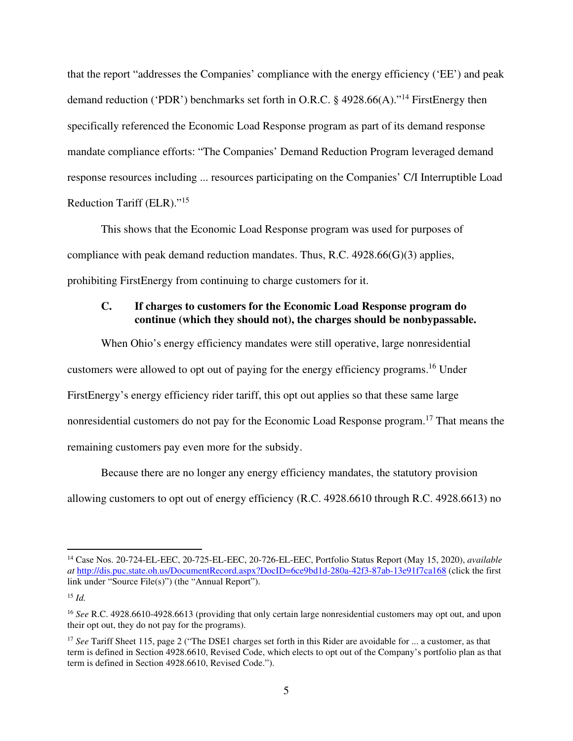that the report "addresses the Companies' compliance with the energy efficiency ('EE') and peak demand reduction ('PDR') benchmarks set forth in O.R.C. § 4928.66(A)."<sup>14</sup> FirstEnergy then specifically referenced the Economic Load Response program as part of its demand response mandate compliance efforts: "The Companies' Demand Reduction Program leveraged demand response resources including ... resources participating on the Companies' C/I Interruptible Load Reduction Tariff (ELR)."<sup>15</sup>

This shows that the Economic Load Response program was used for purposes of compliance with peak demand reduction mandates. Thus, R.C. 4928.66(G)(3) applies, prohibiting FirstEnergy from continuing to charge customers for it.

# **C. If charges to customers for the Economic Load Response program do continue (which they should not), the charges should be nonbypassable.**

When Ohio's energy efficiency mandates were still operative, large nonresidential customers were allowed to opt out of paying for the energy efficiency programs.<sup>16</sup> Under FirstEnergy's energy efficiency rider tariff, this opt out applies so that these same large nonresidential customers do not pay for the Economic Load Response program.<sup>17</sup> That means the remaining customers pay even more for the subsidy.

Because there are no longer any energy efficiency mandates, the statutory provision allowing customers to opt out of energy efficiency (R.C. 4928.6610 through R.C. 4928.6613) no

<sup>14</sup> Case Nos. 20-724-EL-EEC, 20-725-EL-EEC, 20-726-EL-EEC, Portfolio Status Report (May 15, 2020), *available at* http://dis.puc.state.oh.us/DocumentRecord.aspx?DocID=6ce9bd1d-280a-42f3-87ab-13e91f7ca168 (click the first link under "Source File(s)") (the "Annual Report").

<sup>15</sup> *Id.*

<sup>16</sup> *See* R.C. 4928.6610-4928.6613 (providing that only certain large nonresidential customers may opt out, and upon their opt out, they do not pay for the programs).

<sup>17</sup> *See* Tariff Sheet 115, page 2 ("The DSE1 charges set forth in this Rider are avoidable for ... a customer, as that term is defined in Section 4928.6610, Revised Code, which elects to opt out of the Company's portfolio plan as that term is defined in Section 4928.6610, Revised Code.").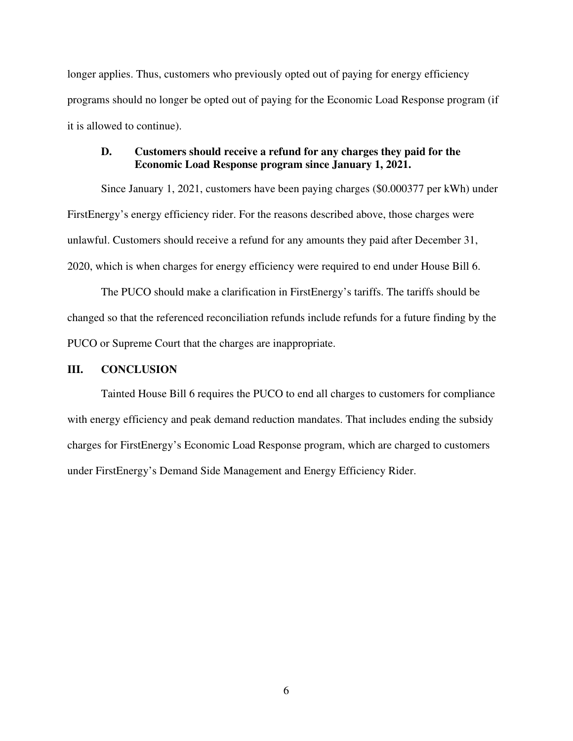longer applies. Thus, customers who previously opted out of paying for energy efficiency programs should no longer be opted out of paying for the Economic Load Response program (if it is allowed to continue).

#### **D. Customers should receive a refund for any charges they paid for the Economic Load Response program since January 1, 2021.**

Since January 1, 2021, customers have been paying charges (\$0.000377 per kWh) under FirstEnergy's energy efficiency rider. For the reasons described above, those charges were unlawful. Customers should receive a refund for any amounts they paid after December 31, 2020, which is when charges for energy efficiency were required to end under House Bill 6.

The PUCO should make a clarification in FirstEnergy's tariffs. The tariffs should be changed so that the referenced reconciliation refunds include refunds for a future finding by the PUCO or Supreme Court that the charges are inappropriate.

#### **III. CONCLUSION**

Tainted House Bill 6 requires the PUCO to end all charges to customers for compliance with energy efficiency and peak demand reduction mandates. That includes ending the subsidy charges for FirstEnergy's Economic Load Response program, which are charged to customers under FirstEnergy's Demand Side Management and Energy Efficiency Rider.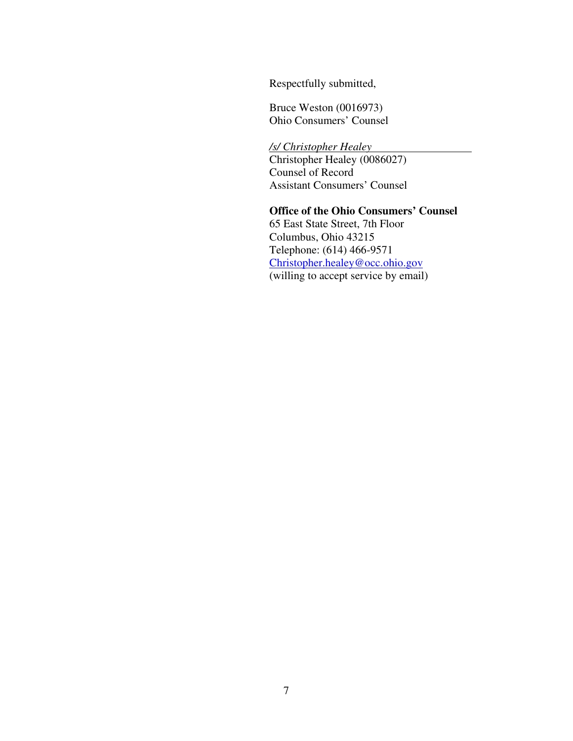Respectfully submitted,

Bruce Weston (0016973) Ohio Consumers' Counsel

*/s/ Christopher Healey*  Christopher Healey (0086027) Counsel of Record Assistant Consumers' Counsel

 **Office of the Ohio Consumers' Counsel**  65 East State Street, 7th Floor Columbus, Ohio 43215 Telephone: (614) 466-9571 Christopher.healey@occ.ohio.gov (willing to accept service by email)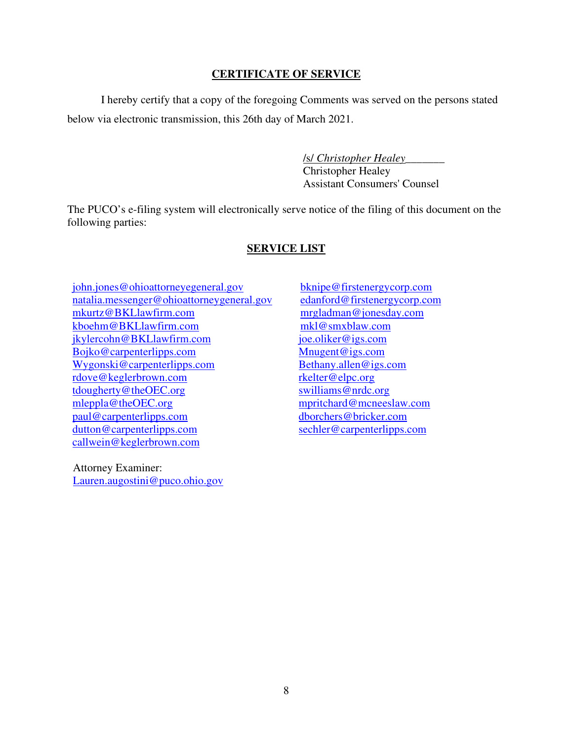# **CERTIFICATE OF SERVICE**

I hereby certify that a copy of the foregoing Comments was served on the persons stated below via electronic transmission, this 26th day of March 2021.

> /s/ *Christopher Healey*\_\_\_\_\_\_\_ Christopher Healey Assistant Consumers' Counsel

The PUCO's e-filing system will electronically serve notice of the filing of this document on the following parties:

# **SERVICE LIST**

john.jones@ohioattorneyegeneral.gov natalia.messenger@ohioattorneygeneral.gov mkurtz@BKLlawfirm.com kboehm@BKLlawfirm.com jkylercohn@BKLlawfirm.com Bojko@carpenterlipps.com Wygonski@carpenterlipps.com rdove@keglerbrown.com tdougherty@theOEC.org mleppla@theOEC.org paul@carpenterlipps.com dutton@carpenterlipps.com callwein@keglerbrown.com

 Attorney Examiner: Lauren.augostini@puco.ohio.gov

bknipe@firstenergycorp.com edanford@firstenergycorp.com mrgladman@jonesday.com mkl@smxblaw.com joe.oliker@igs.com Mnugent@igs.com Bethany.allen@igs.com rkelter@elpc.org swilliams@nrdc.org mpritchard@mcneeslaw.com dborchers@bricker.com sechler@carpenterlipps.com